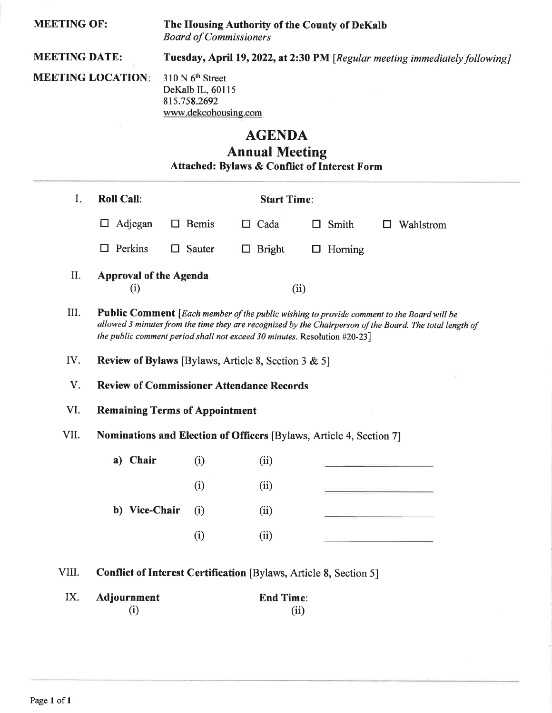| <b>MEETING OF:</b><br><b>MEETING DATE:</b><br><b>MEETING LOCATION:</b>      |                                                            | The Housing Authority of the County of DeKalb<br><b>Board of Commissioners</b><br>Tuesday, April 19, 2022, at 2:30 PM [Regular meeting immediately following]<br>310 N 6 <sup>th</sup> Street<br>DeKalb IL, 60115<br>815.758.2692<br>www.dekcohousing.com                          |                                              |                                                                          |  |  |  |  |                       |                                                         |
|-----------------------------------------------------------------------------|------------------------------------------------------------|------------------------------------------------------------------------------------------------------------------------------------------------------------------------------------------------------------------------------------------------------------------------------------|----------------------------------------------|--------------------------------------------------------------------------|--|--|--|--|-----------------------|---------------------------------------------------------|
|                                                                             |                                                            |                                                                                                                                                                                                                                                                                    |                                              |                                                                          |  |  |  |  | <b>AGENDA</b>         |                                                         |
|                                                                             |                                                            |                                                                                                                                                                                                                                                                                    |                                              |                                                                          |  |  |  |  | <b>Annual Meeting</b> | <b>Attached: Bylaws &amp; Conflict of Interest Form</b> |
|                                                                             |                                                            |                                                                                                                                                                                                                                                                                    |                                              |                                                                          |  |  |  |  |                       |                                                         |
| $I_{\star}$                                                                 | <b>Roll Call:</b>                                          | <b>Start Time:</b>                                                                                                                                                                                                                                                                 |                                              |                                                                          |  |  |  |  |                       |                                                         |
|                                                                             | Adjegan<br>$\Box$                                          | $\Box$ Bemis                                                                                                                                                                                                                                                                       | $\Box$ Cada                                  | Smith<br>Wahlstrom<br>ш                                                  |  |  |  |  |                       |                                                         |
|                                                                             | Perkins<br>□                                               | $\Box$ Sauter                                                                                                                                                                                                                                                                      | <b>Bright</b><br>$\mathcal{L}_{\mathcal{A}}$ | Horning<br>$\Box$                                                        |  |  |  |  |                       |                                                         |
| II.                                                                         | <b>Approval of the Agenda</b><br>(i)                       | (ii)                                                                                                                                                                                                                                                                               |                                              |                                                                          |  |  |  |  |                       |                                                         |
| Ш.                                                                          |                                                            | Public Comment [Each member of the public wishing to provide comment to the Board will be<br>allowed 3 minutes from the time they are recognized by the Chairperson of the Board. The total length of<br>the public comment period shall not exceed 30 minutes. Resolution #20-23] |                                              |                                                                          |  |  |  |  |                       |                                                         |
| IV.                                                                         | <b>Review of Bylaws</b> [Bylaws, Article 8, Section 3 & 5] |                                                                                                                                                                                                                                                                                    |                                              |                                                                          |  |  |  |  |                       |                                                         |
| V.                                                                          | <b>Review of Commissioner Attendance Records</b>           |                                                                                                                                                                                                                                                                                    |                                              |                                                                          |  |  |  |  |                       |                                                         |
| VI.                                                                         | <b>Remaining Terms of Appointment</b>                      |                                                                                                                                                                                                                                                                                    |                                              |                                                                          |  |  |  |  |                       |                                                         |
| VII.<br>Nominations and Election of Officers [Bylaws, Article 4, Section 7] |                                                            |                                                                                                                                                                                                                                                                                    |                                              |                                                                          |  |  |  |  |                       |                                                         |
|                                                                             | a) Chair                                                   | (i)                                                                                                                                                                                                                                                                                | (ii)                                         |                                                                          |  |  |  |  |                       |                                                         |
|                                                                             |                                                            | (i)                                                                                                                                                                                                                                                                                | (ii)                                         |                                                                          |  |  |  |  |                       |                                                         |
|                                                                             | b) Vice-Chair                                              | (i)                                                                                                                                                                                                                                                                                | (ii)                                         |                                                                          |  |  |  |  |                       |                                                         |
|                                                                             |                                                            | (i)                                                                                                                                                                                                                                                                                | (ii)                                         |                                                                          |  |  |  |  |                       |                                                         |
| VIII.                                                                       |                                                            |                                                                                                                                                                                                                                                                                    |                                              | <b>Conflict of Interest Certification [Bylaws, Article 8, Section 5]</b> |  |  |  |  |                       |                                                         |
| IX.                                                                         | Adjournment<br>(i)                                         |                                                                                                                                                                                                                                                                                    | <b>End Time:</b>                             | (ii)                                                                     |  |  |  |  |                       |                                                         |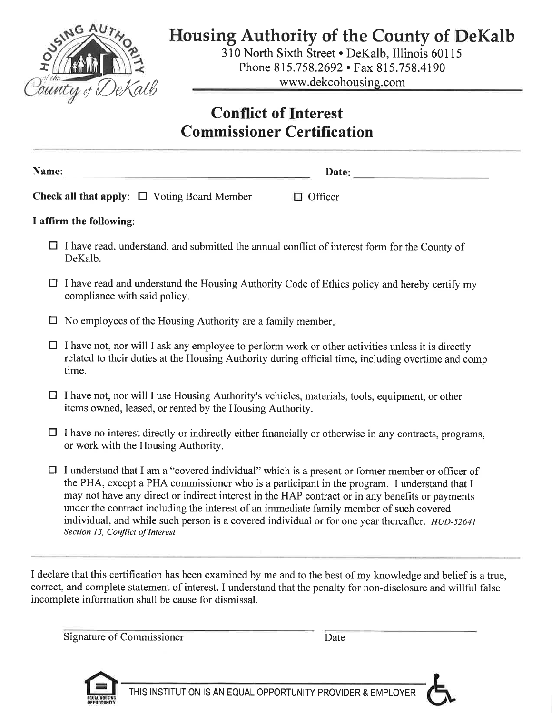

## **Housing Authority of the County of DeKalb**

310 North Sixth Street . DeKalb, Illinois 60115 Phone 815.758.2692 • Fax 815.758.4190 www.dekcohousing.com

## **Conflict of Interest Commissioner Certification**

Name:

Date:

**Check all that apply:**  $\Box$  Voting Board Member  $\Box$  Officer

#### I affirm the following:

- $\Box$  I have read, understand, and submitted the annual conflict of interest form for the County of DeKalb.
- $\Box$  I have read and understand the Housing Authority Code of Ethics policy and hereby certify my compliance with said policy.
- $\Box$  No employees of the Housing Authority are a family member.
- $\Box$  I have not, nor will I ask any employee to perform work or other activities unless it is directly related to their duties at the Housing Authority during official time, including overtime and comp time.
- $\Box$  I have not, nor will I use Housing Authority's vehicles, materials, tools, equipment, or other items owned, leased, or rented by the Housing Authority.
- $\Box$  I have no interest directly or indirectly either financially or otherwise in any contracts, programs, or work with the Housing Authority.
- $\Box$  I understand that I am a "covered individual" which is a present or former member or officer of the PHA, except a PHA commissioner who is a participant in the program. I understand that I may not have any direct or indirect interest in the HAP contract or in any benefits or payments under the contract including the interest of an immediate family member of such covered individual, and while such person is a covered individual or for one year thereafter. HUD-52641 Section 13, Conflict of Interest

I declare that this certification has been examined by me and to the best of my knowledge and belief is a true, correct, and complete statement of interest. I understand that the penalty for non-disclosure and willful false incomplete information shall be cause for dismissal.

**Signature of Commissioner** 

Date



THIS INSTITUTION IS AN EQUAL OPPORTUNITY PROVIDER & EMPLOYER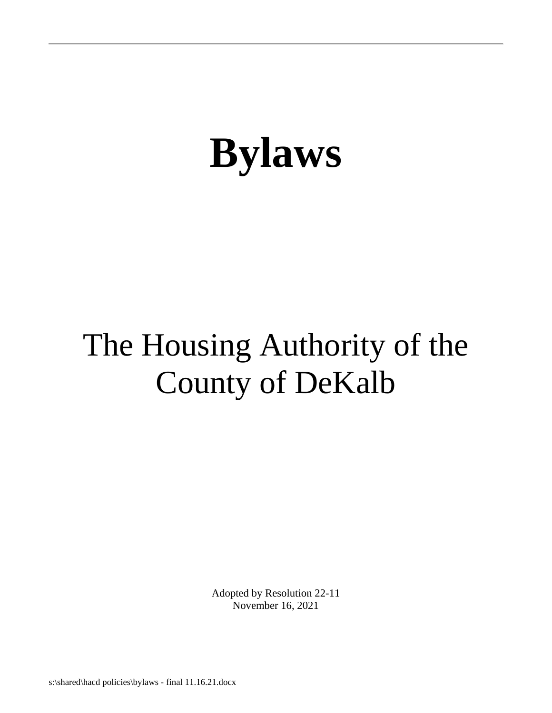## The Housing Authority of the County of DeKalb

Adopted by Resolution 22-11 November 16, 2021

s:\shared\hacd policies\bylaws - final 11.16.21.docx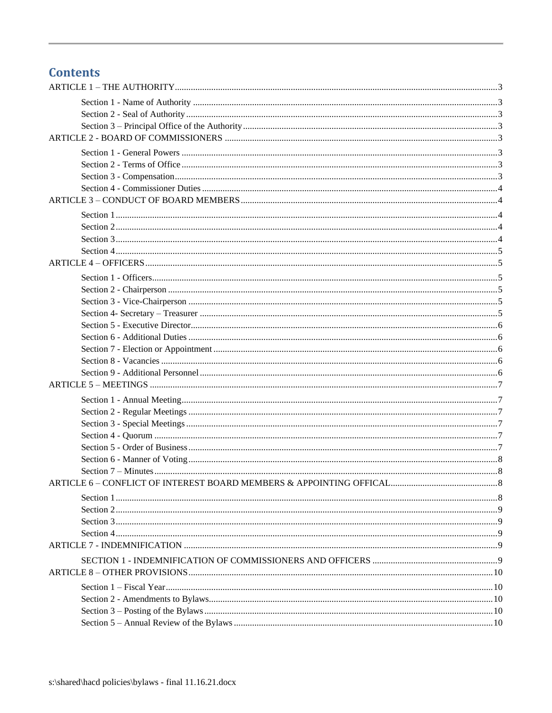## **Contents**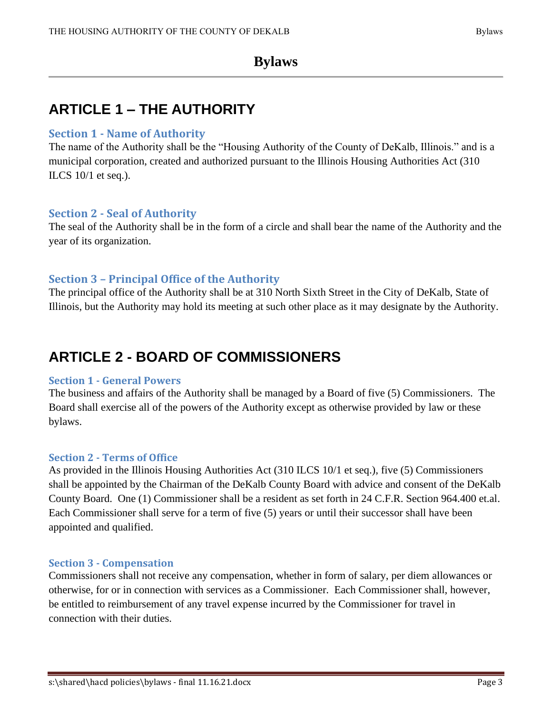## <span id="page-4-0"></span>**ARTICLE 1 – THE AUTHORITY**

#### <span id="page-4-1"></span>**Section 1 - Name of Authority**

The name of the Authority shall be the "Housing Authority of the County of DeKalb, Illinois." and is a municipal corporation, created and authorized pursuant to the Illinois Housing Authorities Act (310 ILCS  $10/1$  et seq.).

#### <span id="page-4-2"></span>**Section 2 - Seal of Authority**

The seal of the Authority shall be in the form of a circle and shall bear the name of the Authority and the year of its organization.

#### <span id="page-4-3"></span>**Section 3 – Principal Office of the Authority**

The principal office of the Authority shall be at 310 North Sixth Street in the City of DeKalb, State of Illinois, but the Authority may hold its meeting at such other place as it may designate by the Authority.

## <span id="page-4-4"></span>**ARTICLE 2 - BOARD OF COMMISSIONERS**

#### <span id="page-4-5"></span>**Section 1 - General Powers**

The business and affairs of the Authority shall be managed by a Board of five (5) Commissioners. The Board shall exercise all of the powers of the Authority except as otherwise provided by law or these bylaws.

#### <span id="page-4-6"></span>**Section 2 - Terms of Office**

As provided in the Illinois Housing Authorities Act (310 ILCS 10/1 et seq.), five (5) Commissioners shall be appointed by the Chairman of the DeKalb County Board with advice and consent of the DeKalb County Board. One (1) Commissioner shall be a resident as set forth in 24 C.F.R. Section 964.400 et.al. Each Commissioner shall serve for a term of five (5) years or until their successor shall have been appointed and qualified.

#### <span id="page-4-7"></span>**Section 3 - Compensation**

Commissioners shall not receive any compensation, whether in form of salary, per diem allowances or otherwise, for or in connection with services as a Commissioner. Each Commissioner shall, however, be entitled to reimbursement of any travel expense incurred by the Commissioner for travel in connection with their duties.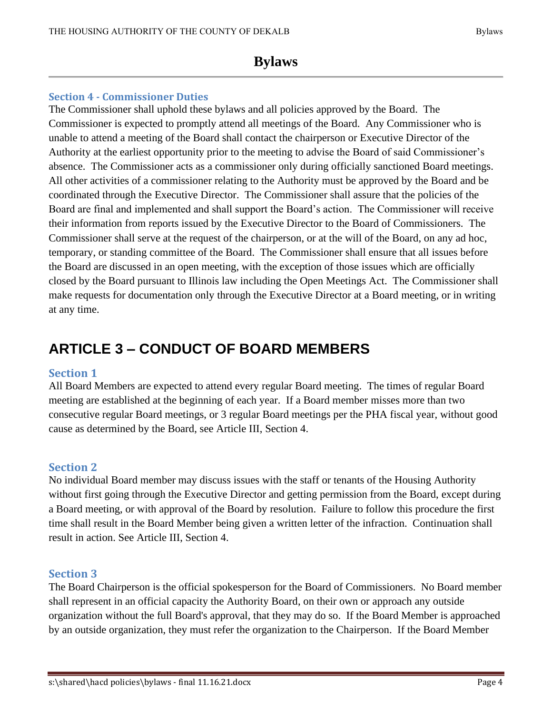#### <span id="page-5-0"></span>**Section 4 - Commissioner Duties**

The Commissioner shall uphold these bylaws and all policies approved by the Board. The Commissioner is expected to promptly attend all meetings of the Board. Any Commissioner who is unable to attend a meeting of the Board shall contact the chairperson or Executive Director of the Authority at the earliest opportunity prior to the meeting to advise the Board of said Commissioner's absence. The Commissioner acts as a commissioner only during officially sanctioned Board meetings. All other activities of a commissioner relating to the Authority must be approved by the Board and be coordinated through the Executive Director. The Commissioner shall assure that the policies of the Board are final and implemented and shall support the Board's action. The Commissioner will receive their information from reports issued by the Executive Director to the Board of Commissioners. The Commissioner shall serve at the request of the chairperson, or at the will of the Board, on any ad hoc, temporary, or standing committee of the Board. The Commissioner shall ensure that all issues before the Board are discussed in an open meeting, with the exception of those issues which are officially closed by the Board pursuant to Illinois law including the Open Meetings Act. The Commissioner shall make requests for documentation only through the Executive Director at a Board meeting, or in writing at any time.

## <span id="page-5-1"></span>**ARTICLE 3 – CONDUCT OF BOARD MEMBERS**

#### <span id="page-5-2"></span>**Section 1**

All Board Members are expected to attend every regular Board meeting. The times of regular Board meeting are established at the beginning of each year. If a Board member misses more than two consecutive regular Board meetings, or 3 regular Board meetings per the PHA fiscal year, without good cause as determined by the Board, see Article III, Section 4.

#### <span id="page-5-3"></span>**Section 2**

No individual Board member may discuss issues with the staff or tenants of the Housing Authority without first going through the Executive Director and getting permission from the Board, except during a Board meeting, or with approval of the Board by resolution. Failure to follow this procedure the first time shall result in the Board Member being given a written letter of the infraction. Continuation shall result in action. See Article III, Section 4.

#### <span id="page-5-4"></span>**Section 3**

The Board Chairperson is the official spokesperson for the Board of Commissioners. No Board member shall represent in an official capacity the Authority Board, on their own or approach any outside organization without the full Board's approval, that they may do so. If the Board Member is approached by an outside organization, they must refer the organization to the Chairperson. If the Board Member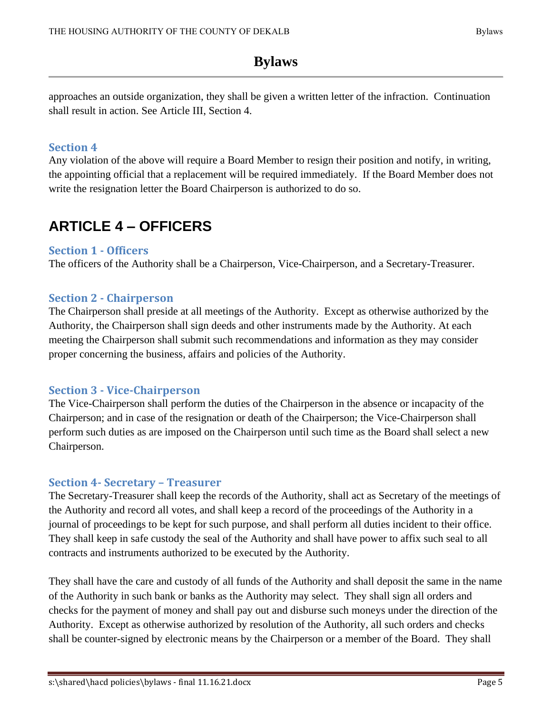approaches an outside organization, they shall be given a written letter of the infraction. Continuation shall result in action. See Article III, Section 4.

#### <span id="page-6-0"></span>**Section 4**

Any violation of the above will require a Board Member to resign their position and notify, in writing, the appointing official that a replacement will be required immediately. If the Board Member does not write the resignation letter the Board Chairperson is authorized to do so.

## <span id="page-6-1"></span>**ARTICLE 4 – OFFICERS**

#### <span id="page-6-2"></span>**Section 1 - Officers**

The officers of the Authority shall be a Chairperson, Vice-Chairperson, and a Secretary-Treasurer.

#### <span id="page-6-3"></span>**Section 2 - Chairperson**

The Chairperson shall preside at all meetings of the Authority. Except as otherwise authorized by the Authority, the Chairperson shall sign deeds and other instruments made by the Authority. At each meeting the Chairperson shall submit such recommendations and information as they may consider proper concerning the business, affairs and policies of the Authority.

#### <span id="page-6-4"></span>**Section 3 - Vice-Chairperson**

The Vice-Chairperson shall perform the duties of the Chairperson in the absence or incapacity of the Chairperson; and in case of the resignation or death of the Chairperson; the Vice-Chairperson shall perform such duties as are imposed on the Chairperson until such time as the Board shall select a new Chairperson.

#### <span id="page-6-5"></span>**Section 4- Secretary – Treasurer**

The Secretary-Treasurer shall keep the records of the Authority, shall act as Secretary of the meetings of the Authority and record all votes, and shall keep a record of the proceedings of the Authority in a journal of proceedings to be kept for such purpose, and shall perform all duties incident to their office. They shall keep in safe custody the seal of the Authority and shall have power to affix such seal to all contracts and instruments authorized to be executed by the Authority.

They shall have the care and custody of all funds of the Authority and shall deposit the same in the name of the Authority in such bank or banks as the Authority may select. They shall sign all orders and checks for the payment of money and shall pay out and disburse such moneys under the direction of the Authority. Except as otherwise authorized by resolution of the Authority, all such orders and checks shall be counter-signed by electronic means by the Chairperson or a member of the Board. They shall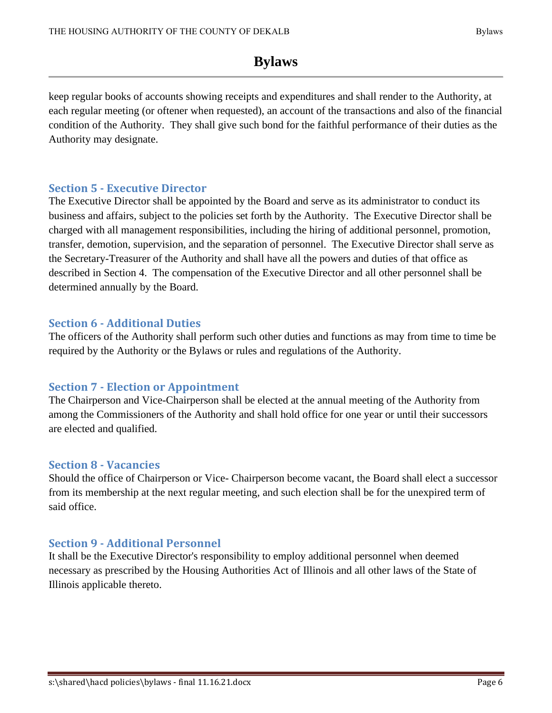keep regular books of accounts showing receipts and expenditures and shall render to the Authority, at each regular meeting (or oftener when requested), an account of the transactions and also of the financial condition of the Authority. They shall give such bond for the faithful performance of their duties as the Authority may designate.

#### <span id="page-7-0"></span>**Section 5 - Executive Director**

The Executive Director shall be appointed by the Board and serve as its administrator to conduct its business and affairs, subject to the policies set forth by the Authority. The Executive Director shall be charged with all management responsibilities, including the hiring of additional personnel, promotion, transfer, demotion, supervision, and the separation of personnel. The Executive Director shall serve as the Secretary-Treasurer of the Authority and shall have all the powers and duties of that office as described in Section 4. The compensation of the Executive Director and all other personnel shall be determined annually by the Board.

#### <span id="page-7-1"></span>**Section 6 - Additional Duties**

The officers of the Authority shall perform such other duties and functions as may from time to time be required by the Authority or the Bylaws or rules and regulations of the Authority.

#### <span id="page-7-2"></span>**Section 7 - Election or Appointment**

The Chairperson and Vice-Chairperson shall be elected at the annual meeting of the Authority from among the Commissioners of the Authority and shall hold office for one year or until their successors are elected and qualified.

#### <span id="page-7-3"></span>**Section 8 - Vacancies**

Should the office of Chairperson or Vice- Chairperson become vacant, the Board shall elect a successor from its membership at the next regular meeting, and such election shall be for the unexpired term of said office.

#### <span id="page-7-4"></span>**Section 9 - Additional Personnel**

It shall be the Executive Director's responsibility to employ additional personnel when deemed necessary as prescribed by the Housing Authorities Act of Illinois and all other laws of the State of Illinois applicable thereto.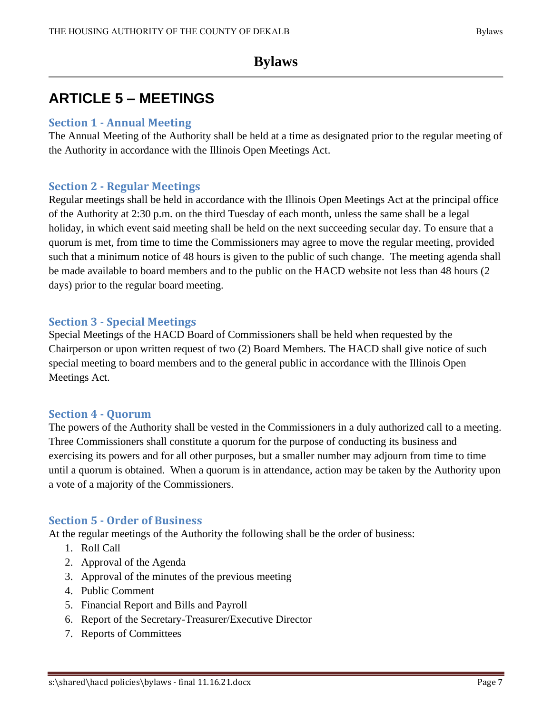## <span id="page-8-0"></span>**ARTICLE 5 – MEETINGS**

#### <span id="page-8-1"></span>**Section 1 - Annual Meeting**

The Annual Meeting of the Authority shall be held at a time as designated prior to the regular meeting of the Authority in accordance with the Illinois Open Meetings Act.

#### <span id="page-8-2"></span>**Section 2 - Regular Meetings**

Regular meetings shall be held in accordance with the Illinois Open Meetings Act at the principal office of the Authority at 2:30 p.m. on the third Tuesday of each month, unless the same shall be a legal holiday, in which event said meeting shall be held on the next succeeding secular day. To ensure that a quorum is met, from time to time the Commissioners may agree to move the regular meeting, provided such that a minimum notice of 48 hours is given to the public of such change. The meeting agenda shall be made available to board members and to the public on the HACD website not less than 48 hours (2 days) prior to the regular board meeting.

#### <span id="page-8-3"></span>**Section 3 - Special Meetings**

Special Meetings of the HACD Board of Commissioners shall be held when requested by the Chairperson or upon written request of two (2) Board Members. The HACD shall give notice of such special meeting to board members and to the general public in accordance with the Illinois Open Meetings Act.

#### <span id="page-8-4"></span>**Section 4 - Quorum**

The powers of the Authority shall be vested in the Commissioners in a duly authorized call to a meeting. Three Commissioners shall constitute a quorum for the purpose of conducting its business and exercising its powers and for all other purposes, but a smaller number may adjourn from time to time until a quorum is obtained. When a quorum is in attendance, action may be taken by the Authority upon a vote of a majority of the Commissioners.

#### <span id="page-8-5"></span>**Section 5 - Order of Business**

At the regular meetings of the Authority the following shall be the order of business:

- 1. Roll Call
- 2. Approval of the Agenda
- 3. Approval of the minutes of the previous meeting
- 4. Public Comment
- 5. Financial Report and Bills and Payroll
- 6. Report of the Secretary-Treasurer/Executive Director
- 7. Reports of Committees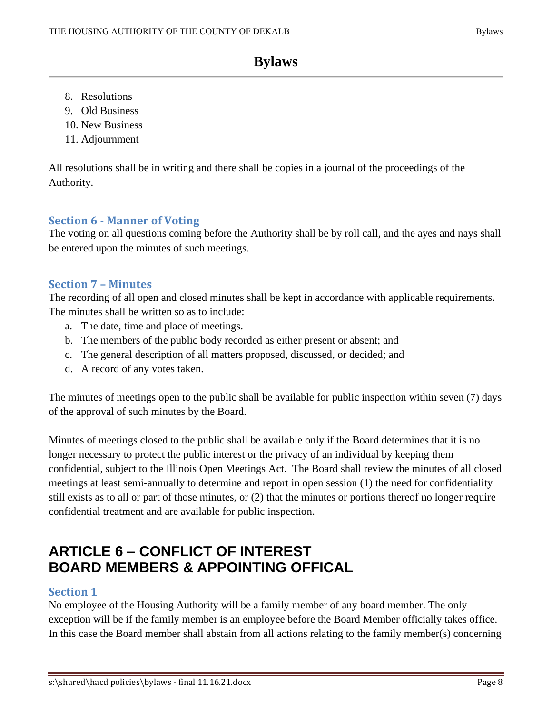- 8. Resolutions
- 9. Old Business
- 10. New Business
- 11. Adjournment

All resolutions shall be in writing and there shall be copies in a journal of the proceedings of the Authority.

#### <span id="page-9-0"></span>**Section 6 - Manner of Voting**

The voting on all questions coming before the Authority shall be by roll call, and the ayes and nays shall be entered upon the minutes of such meetings.

#### <span id="page-9-1"></span>**Section 7 – Minutes**

The recording of all open and closed minutes shall be kept in accordance with applicable requirements. The minutes shall be written so as to include:

- a. The date, time and place of meetings.
- b. The members of the public body recorded as either present or absent; and
- c. The general description of all matters proposed, discussed, or decided; and
- d. A record of any votes taken.

The minutes of meetings open to the public shall be available for public inspection within seven (7) days of the approval of such minutes by the Board.

Minutes of meetings closed to the public shall be available only if the Board determines that it is no longer necessary to protect the public interest or the privacy of an individual by keeping them confidential, subject to the Illinois Open Meetings Act. The Board shall review the minutes of all closed meetings at least semi-annually to determine and report in open session (1) the need for confidentiality still exists as to all or part of those minutes, or (2) that the minutes or portions thereof no longer require confidential treatment and are available for public inspection.

## <span id="page-9-2"></span>**ARTICLE 6 – CONFLICT OF INTEREST BOARD MEMBERS & APPOINTING OFFICAL**

#### <span id="page-9-3"></span>**Section 1**

No employee of the Housing Authority will be a family member of any board member. The only exception will be if the family member is an employee before the Board Member officially takes office. In this case the Board member shall abstain from all actions relating to the family member(s) concerning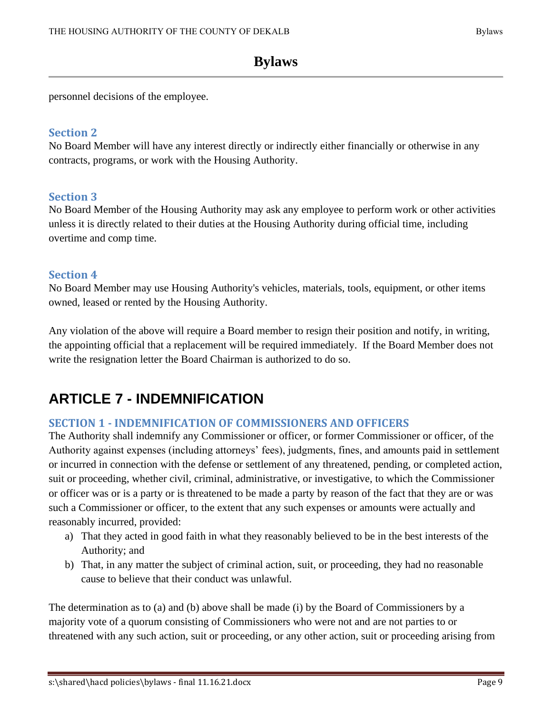personnel decisions of the employee.

#### <span id="page-10-0"></span>**Section 2**

No Board Member will have any interest directly or indirectly either financially or otherwise in any contracts, programs, or work with the Housing Authority.

#### <span id="page-10-1"></span>**Section 3**

No Board Member of the Housing Authority may ask any employee to perform work or other activities unless it is directly related to their duties at the Housing Authority during official time, including overtime and comp time.

#### <span id="page-10-2"></span>**Section 4**

No Board Member may use Housing Authority's vehicles, materials, tools, equipment, or other items owned, leased or rented by the Housing Authority.

Any violation of the above will require a Board member to resign their position and notify, in writing, the appointing official that a replacement will be required immediately. If the Board Member does not write the resignation letter the Board Chairman is authorized to do so.

## <span id="page-10-3"></span>**ARTICLE 7 - INDEMNIFICATION**

#### <span id="page-10-4"></span>**SECTION 1 - INDEMNIFICATION OF COMMISSIONERS AND OFFICERS**

The Authority shall indemnify any Commissioner or officer, or former Commissioner or officer, of the Authority against expenses (including attorneys' fees), judgments, fines, and amounts paid in settlement or incurred in connection with the defense or settlement of any threatened, pending, or completed action, suit or proceeding, whether civil, criminal, administrative, or investigative, to which the Commissioner or officer was or is a party or is threatened to be made a party by reason of the fact that they are or was such a Commissioner or officer, to the extent that any such expenses or amounts were actually and reasonably incurred, provided:

- a) That they acted in good faith in what they reasonably believed to be in the best interests of the Authority; and
- b) That, in any matter the subject of criminal action, suit, or proceeding, they had no reasonable cause to believe that their conduct was unlawful.

The determination as to (a) and (b) above shall be made (i) by the Board of Commissioners by a majority vote of a quorum consisting of Commissioners who were not and are not parties to or threatened with any such action, suit or proceeding, or any other action, suit or proceeding arising from